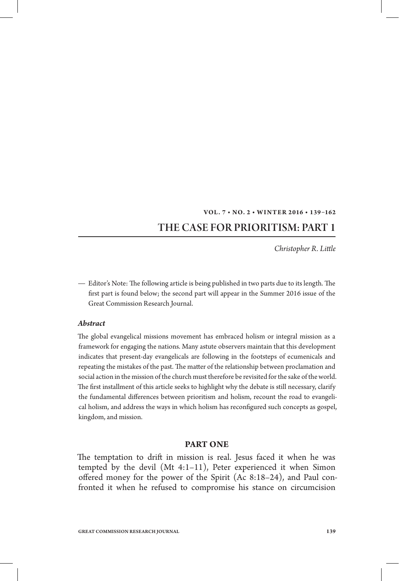## **VOL. 7 • NO. 2 • WINT ER 2 016 • 139–162**

# THE CASE FOR PRIORITISM: PART 1

*Christopher R. Lile*

 $-$  Editor's Note: The following article is being published in two parts due to its length. The first part is found below; the second part will appear in the Summer 2016 issue of the Great Commission Research Journal.

# *Abstract*

The global evangelical missions movement has embraced holism or integral mission as a framework for engaging the nations. Many astute observers maintain that this development indicates that present-day evangelicals are following in the footsteps of ecumenicals and repeating the mistakes of the past. The matter of the relationship between proclamation and social action in the mission of the church must therefore be revisited for the sake of the world. The first installment of this article seeks to highlight why the debate is still necessary, clarify the fundamental differences between prioritism and holism, recount the road to evangelical holism, and address the ways in which holism has reconfigured such concepts as gospel, kingdom, and mission.

# **PART ONE**

The temptation to drift in mission is real. Jesus faced it when he was tempted by the devil (Mt 4:1–11), Peter experienced it when Simon offered money for the power of the Spirit  $(Ac 8:18-24)$ , and Paul confronted it when he refused to compromise his stance on circumcision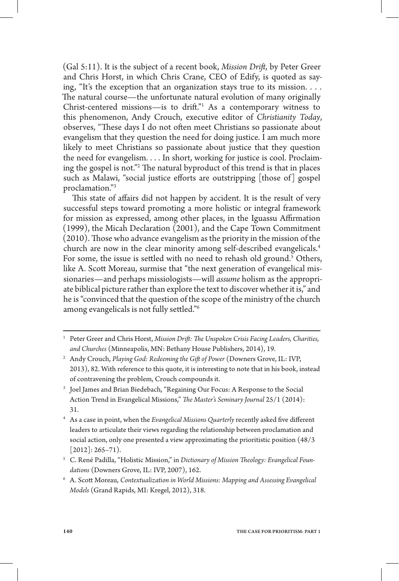(Gal 5:11). It is the subject of a recent book, *Mission Dri* , by Peter Greer and Chris Horst, in which Chris Crane, CEO of Edify, is quoted as saying, "It's the exception that an organization stays true to its mission. . . . The natural course—the unfortunate natural evolution of many originally Christ-centered missions-is to drift." As a contemporary witness to this phenomenon, Andy Crouch, executive editor of *Christianity Today*, observes, "These days I do not often meet Christians so passionate about evangelism that they question the need for doing justice. I am much more likely to meet Christians so passionate about justice that they question the need for evangelism. . . . In short, working for justice is cool. Proclaiming the gospel is not."<sup>2</sup> The natural byproduct of this trend is that in places such as Malawi, "social justice efforts are outstripping [those of] gospel proclamation."3

This state of affairs did not happen by accident. It is the result of very successful steps toward promoting a more holistic or integral framework for mission as expressed, among other places, in the Iguassu Affirmation (1999), the Micah Declaration (2001), and the Cape Town Commitment  $(2010)$ . Those who advance evangelism as the priority in the mission of the church are now in the clear minority among self-described evangelicals.<sup>4</sup> For some, the issue is settled with no need to rehash old ground.<sup>5</sup> Others, like A. Scott Moreau, surmise that "the next generation of evangelical missionaries—and perhaps missiologists—will *assume* holism as the appropriate biblical picture rather than explore the text to discover whether it is," and he is "convinced that the question of the scope of the ministry of the church among evangelicals is not fully settled."<sup>6</sup>

<sup>&</sup>lt;sup>1</sup> Peter Greer and Chris Horst, Mission Drift: The Unspoken Crisis Facing Leaders, Charities, *and Churches* (Minneapolis, MN: Bethany House Publishers, 2014), 19.

<sup>&</sup>lt;sup>2</sup> Andy Crouch, *Playing God: Redeeming the Gift of Power* (Downers Grove, IL: IVP, 2013), 82. With reference to this quote, it is interesting to note that in his book, instead of contravening the problem, Crouch compounds it.

<sup>3</sup> Joel James and Brian Biedebach, "Regaining Our Focus: A Response to the Social Action Trend in Evangelical Missions," *The Master's Seminary Journal* 25/1 (2014): 31.

<sup>&</sup>lt;sup>4</sup> As a case in point, when the *Evangelical Missions Quarterly* recently asked five different leaders to articulate their views regarding the relationship between proclamation and social action, only one presented a view approximating the prioritistic position (48/3  $[2012]: 265 - 71$ ).

<sup>&</sup>lt;sup>5</sup> C. René Padilla, "Holistic Mission," in Dictionary of Mission Theology: Evangelical Foun*dations* (Downers Grove, IL: IVP, 2007), 162.

<sup>&</sup>lt;sup>6</sup> A. Scott Moreau, *Contextualization in World Missions: Mapping and Assessing Evangelical Models* (Grand Rapids, MI: Kregel, 2012), 318.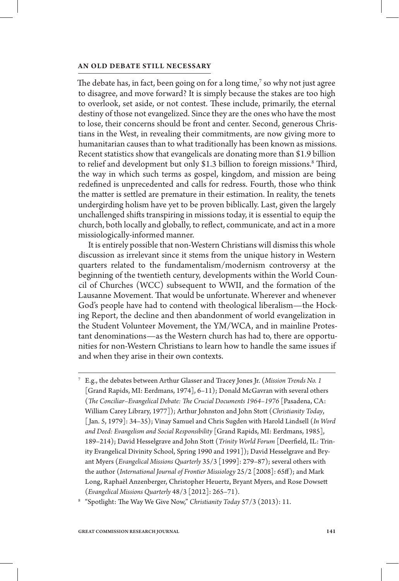#### **AN OLD DEBATE STILL NECESSARY**

The debate has, in fact, been going on for a long time, $^7$  so why not just agree to disagree, and move forward? It is simply because the stakes are too high to overlook, set aside, or not contest. These include, primarily, the eternal destiny of those not evangelized. Since they are the ones who have the most to lose, their concerns should be front and center. Second, generous Christians in the West, in revealing their commitments, are now giving more to humanitarian causes than to what traditionally has been known as missions. Recent statistics show that evangelicals are donating more than \$1.9 billion to relief and development but only \$1.3 billion to foreign missions.<sup>8</sup> Third, the way in which such terms as gospel, kingdom, and mission are being redefined is unprecedented and calls for redress. Fourth, those who think the matter is settled are premature in their estimation. In reality, the tenets undergirding holism have yet to be proven biblically. Last, given the largely unchallenged shifts transpiring in missions today, it is essential to equip the church, both locally and globally, to reflect, communicate, and act in a more missiologically-informed manner.

It is entirely possible that non-Western Christians will dismiss this whole discussion as irrelevant since it stems from the unique history in Western quarters related to the fundamentalism/modernism controversy at the beginning of the twentieth century, developments within the World Council of Churches (WCC) subsequent to WWII, and the formation of the Lausanne Movement. That would be unfortunate. Wherever and whenever God's people have had to contend with theological liberalism—the Hocking Report, the decline and then abandonment of world evangelization in the Student Volunteer Movement, the YM/WCA, and in mainline Protestant denominations—as the Western church has had to, there are opportunities for non-Western Christians to learn how to handle the same issues if and when they arise in their own contexts.

7 E.g., the debates between Arthur Glasser and Tracey Jones Jr. (*Mission Trends No. 1* [Grand Rapids, MI: Eerdmans, 1974], 6–11); Donald McGavran with several others (The Conciliar-Evangelical Debate: The Crucial Documents 1964-1976 [Pasadena, CA: William Carey Library, 1977]); Arthur Johnston and John Stott (Christianity Today, [ Jan. 5, 1979]: 34–35); Vinay Samuel and Chris Sugden with Harold Lindsell (*In Word and Deed: Evangelism and Social Responsibility* [Grand Rapids, MI: Eerdmans, 1985], 189–214); David Hesselgrave and John Stott (Trinity World Forum [Deerfield, IL: Trinity Evangelical Divinity School, Spring 1990 and 1991]); David Hesselgrave and Bryant Myers (*Evangelical Missions Quarterly* 35/3 [1999]: 279–87); several others with the author (*International Journal of Frontier Missiology* 25/2 [2008]: 65ff); and Mark Long, Raphaël Anzenberger, Christopher Heuertz, Bryant Myers, and Rose Dowsett (*Evangelical Missions Quarterly* 48/3 [2012]: 265–71).

<sup>8</sup> "Spotlight: The Way We Give Now," *Christianity Today* 57/3 (2013): 11.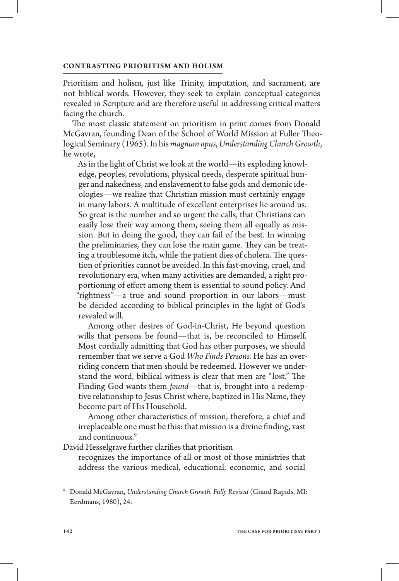Prioritism and holism, just like Trinity, imputation, and sacrament, are not biblical words. However, they seek to explain conceptual categories revealed in Scripture and are therefore useful in addressing critical matters facing the church.

The most classic statement on prioritism in print comes from Donald McGavran, founding Dean of the School of World Mission at Fuller Theological Seminary (1965). In his *magnum opus*, *Understanding Church Growth*, he wrote,

As in the light of Christ we look at the world—its exploding knowledge, peoples, revolutions, physical needs, desperate spiritual hunger and nakedness, and enslavement to false gods and demonic ideologies—we realize that Christian mission must certainly engage in many labors. A multitude of excellent enterprises lie around us. So great is the number and so urgent the calls, that Christians can easily lose their way among them, seeing them all equally as mission. But in doing the good, they can fail of the best. In winning the preliminaries, they can lose the main game. They can be treating a troublesome itch, while the patient dies of cholera. The question of priorities cannot be avoided. In this fast-moving, cruel, and revolutionary era, when many activities are demanded, a right proportioning of effort among them is essential to sound policy. And "rightness"—a true and sound proportion in our labors—must be decided according to biblical principles in the light of God's revealed will.

Among other desires of God-in-Christ, He beyond question wills that persons be found—that is, be reconciled to Himself. Most cordially admitting that God has other purposes, we should remember that we serve a God *Who Finds Persons.* He has an overriding concern that men should be redeemed. However we understand the word, biblical witness is clear that men are "lost." The Finding God wants them *found—*that is, brought into a redemptive relationship to Jesus Christ where, baptized in His Name, they become part of His Household.

Among other characteristics of mission, therefore, a chief and irreplaceable one must be this: that mission is a divine finding, vast and continuous.<sup>9</sup>

David Hesselgrave further clarifies that prioritism

recognizes the importance of all or most of those ministries that address the various medical, educational, economic, and social

<sup>9</sup> Donald McGavran, *Understanding Church Growth. Fully Revised* (Grand Rapids, MI: Eerdmans, 1980), 24.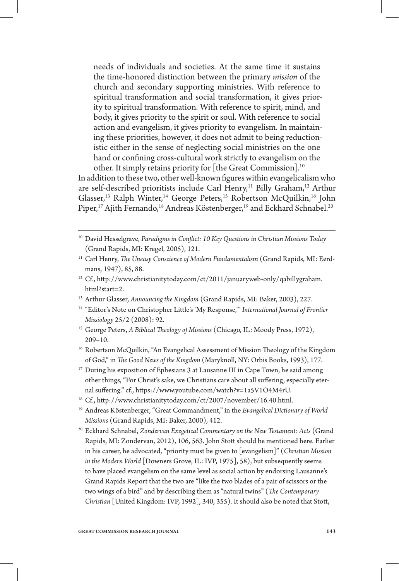needs of individuals and societies. At the same time it sustains the time-honored distinction between the primary *mission* of the church and secondary supporting ministries. With reference to spiritual transformation and social transformation, it gives priority to spiritual transformation. With reference to spirit, mind, and body, it gives priority to the spirit or soul. With reference to social action and evangelism, it gives priority to evangelism. In maintaining these priorities, however, it does not admit to being reductionistic either in the sense of neglecting social ministries on the one hand or confining cross-cultural work strictly to evangelism on the other. It simply retains priority for [the Great Commission].<sup>10</sup>

In addition to these two, other well-known figures within evangelicalism who are self-described prioritists include Carl Henry,<sup>11</sup> Billy Graham,<sup>12</sup> Arthur Glasser,<sup>13</sup> Ralph Winter,<sup>14</sup> George Peters,<sup>15</sup> Robertson McQuilkin,<sup>16</sup> John Piper,<sup>17</sup> Ajith Fernando,<sup>18</sup> Andreas Köstenberger,<sup>19</sup> and Eckhard Schnabel.<sup>20</sup>

- 13 Arthur Glasser, *Announcing the Kingdom* (Grand Rapids, MI: Baker, 2003), 227.
- <sup>14</sup> "Editor's Note on Christopher Little's 'My Response," *International Journal of Frontier Missiology* 25/2 (2008): 92.
- <sup>15</sup> George Peters, *A Biblical Theology of Missions* (Chicago, IL: Moody Press, 1972), 209–10.
- <sup>16</sup> Robertson McQuilkin, "An Evangelical Assessment of Mission Theology of the Kingdom of God," in *The Good News of the Kingdom* (Maryknoll, NY: Orbis Books, 1993), 177.
- <sup>17</sup> During his exposition of Ephesians 3 at Lausanne III in Cape Town, he said among other things, "For Christ's sake, we Christians care about all suffering, especially eternal suffering." cf., https://www.youtube.com/watch?v=1a5V1O4M4rU.
- $18$  Cf., http://www.christianitytoday.com/ct/2007/november/16.40.html.
- 19 Andreas Köstenberger, "Great Commandment," in the *Evangelical Dictionary of World Missions* (Grand Rapids, MI: Baker, 2000), 412.
- 20 Eckhard Schnabel, *Zondervan Exegetical Commentary on the New Testament: Acts* (Grand Rapids, MI: Zondervan, 2012), 106, 563. John Stott should be mentioned here. Earlier in his career, he advocated, "priority must be given to [evangelism]" (*Christian Mission in the Modern World* [Downers Grove, IL: IVP, 1975], 58), but subsequently seems to have placed evangelism on the same level as social action by endorsing Lausanne's Grand Rapids Report that the two are "like the two blades of a pair of scissors or the two wings of a bird" and by describing them as "natural twins" (The Contemporary *Christian* [United Kingdom: IVP, 1992], 340, 355). It should also be noted that Stott,

<sup>&</sup>lt;sup>10</sup> David Hesselgrave, *Paradigms in Conflict: 10 Key Questions in Christian Missions Today* (Grand Rapids, MI: Kregel, 2005), 121.

<sup>&</sup>lt;sup>11</sup> Carl Henry, *The Uneasy Conscience of Modern Fundamentalism* (Grand Rapids, MI: Eerdmans, 1947), 85, 88.

 $^{12}$  Cf., http://www.christianitytoday.com/ct/2011/januaryweb-only/qabillygraham. html?start=2.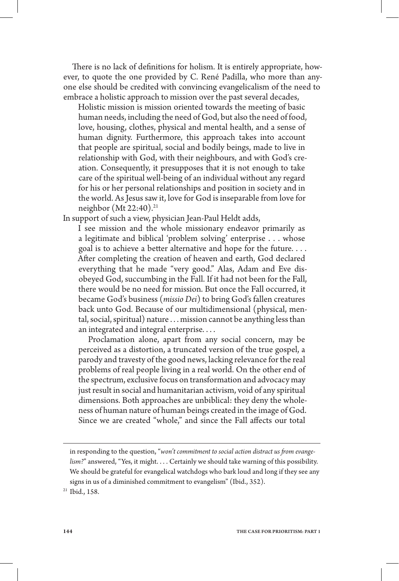There is no lack of definitions for holism. It is entirely appropriate, however, to quote the one provided by C. René Padilla, who more than anyone else should be credited with convincing evangelicalism of the need to embrace a holistic approach to mission over the past several decades,

Holistic mission is mission oriented towards the meeting of basic human needs, including the need of God, but also the need of food, love, housing, clothes, physical and mental health, and a sense of human dignity. Furthermore, this approach takes into account that people are spiritual, social and bodily beings, made to live in relationship with God, with their neighbours, and with God's creation. Consequently, it presupposes that it is not enough to take care of the spiritual well-being of an individual without any regard for his or her personal relationships and position in society and in the world. As Jesus saw it, love for God is inseparable from love for neighbor (Mt 22:40).<sup>21</sup>

In support of such a view, physician Jean-Paul Heldt adds,

I see mission and the whole missionary endeavor primarily as a legitimate and biblical 'problem solving' enterprise . . . whose goal is to achieve a better alternative and hope for the future.... After completing the creation of heaven and earth, God declared everything that he made "very good." Alas, Adam and Eve disobeyed God, succumbing in the Fall. If it had not been for the Fall, there would be no need for mission. But once the Fall occurred, it became God's business (*missio Dei*) to bring God's fallen creatures back unto God. Because of our multidimensional (physical, mental, social, spiritual) nature . . . mission cannot be anything less than an integrated and integral enterprise. . . .

Proclamation alone, apart from any social concern, may be perceived as a distortion, a truncated version of the true gospel, a parody and travesty of the good news, lacking relevance for the real problems of real people living in a real world. On the other end of the spectrum, exclusive focus on transformation and advocacy may just result in social and humanitarian activism, void of any spiritual dimensions. Both approaches are unbiblical: they deny the wholeness of human nature of human beings created in the image of God. Since we are created "whole," and since the Fall affects our total

in responding to the question, "won't commitment to social action distract us from evange*lism?*" answered, "Yes, it might. . . . Certainly we should take warning of this possibility. We should be grateful for evangelical watchdogs who bark loud and long if they see any signs in us of a diminished commitment to evangelism" (Ibid., 352).

<sup>21</sup> Ibid., 158.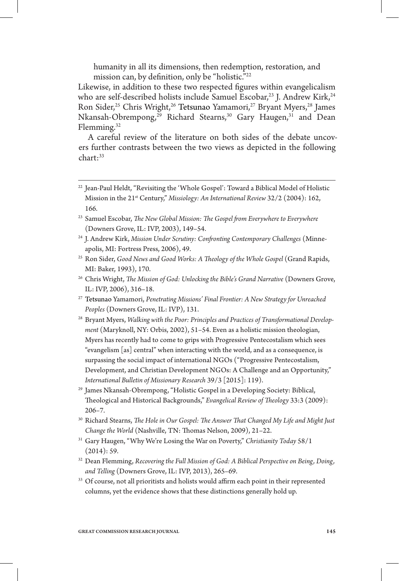humanity in all its dimensions, then redemption, restoration, and mission can, by definition, only be "holistic."<sup>22</sup>

Likewise, in addition to these two respected figures within evangelicalism who are self-described holists include Samuel Escobar,<sup>23</sup> J. Andrew Kirk,<sup>24</sup> Ron Sider,<sup>25</sup> Chris Wright,<sup>26</sup> Tetsunao Yamamori,<sup>27</sup> Bryant Myers,<sup>28</sup> James Nkansah-Obrempong, $^{29}$  Richard Stearns,<sup>30</sup> Gary Haugen,<sup>31</sup> and Dean Flemming.<sup>32</sup>

A careful review of the literature on both sides of the debate uncovers further contrasts between the two views as depicted in the following chart:<sup>33</sup>

- <sup>22</sup> Jean-Paul Heldt, "Revisiting the 'Whole Gospel': Toward a Biblical Model of Holistic Mission in the 21st Century," *Missiology: An International Review* 32/2 (2004): 162, 166.
- <sup>23</sup> Samuel Escobar, The New Global Mission: The Gospel from Everywhere to Everywhere (Downers Grove, IL: IVP, 2003), 149–54.
- <sup>24</sup> J. Andrew Kirk, Mission Under Scrutiny: Confronting Contemporary Challenges (Minneapolis, MI: Fortress Press, 2006), 49.
- <sup>25</sup> Ron Sider, *Good News and Good Works: A Theology of the Whole Gospel* (Grand Rapids, MI: Baker, 1993), 170.
- <sup>26</sup> Chris Wright, *The Mission of God: Unlocking the Bible's Grand Narrative* (Downers Grove, IL: IVP, 2006), 316–18.
- <sup>27</sup> Tetsunao Yamamori, *Penetrating Missions' Final Frontier: A New Strategy for Unreached Peoples* (Downers Grove, IL: IVP), 131.
- 28 Bryant Myers, *Walking with the Poor: Principles and Practices of Transformational Development* (Maryknoll, NY: Orbis, 2002), 51–54. Even as a holistic mission theologian, Myers has recently had to come to grips with Progressive Pentecostalism which sees "evangelism [as] central" when interacting with the world, and as a consequence, is surpassing the social impact of international NGOs ("Progressive Pentecostalism, Development, and Christian Development NGOs: A Challenge and an Opportunity," *International Bulletin of Missionary Research* 39/3 [2015]: 119).
- 29 James Nkansah-Obrempong, "Holistic Gospel in a Developing Society: Biblical, Theological and Historical Backgrounds," *Evangelical Review of Theology* 33:3 (2009): 206–7.
- <sup>30</sup> Richard Stearns, *The Hole in Our Gospel: The Answer That Changed My Life and Might Just Change the World* (Nashville, TN: Thomas Nelson, 2009), 21-22.
- 31 Gary Haugen, "Why We're Losing the War on Poverty," *Christianity Today* 58/1 (2014): 59.
- 32 Dean Flemming, *Recovering the Full Mission of God: A Biblical Perspective on Being, Doing, and Telling* (Downers Grove, IL: IVP, 2013), 265–69.
- <sup>33</sup> Of course, not all prioritists and holists would affirm each point in their represented columns, yet the evidence shows that these distinctions generally hold up.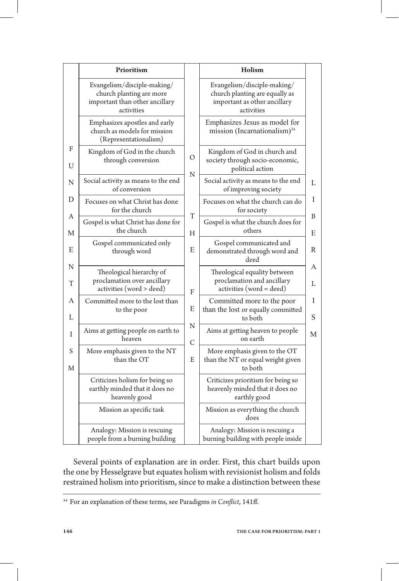|        | Prioritism                                                                                              |                                                                | Holism                                                                                                      |                       |
|--------|---------------------------------------------------------------------------------------------------------|----------------------------------------------------------------|-------------------------------------------------------------------------------------------------------------|-----------------------|
|        | Evangelism/disciple-making/<br>church planting are more<br>important than other ancillary<br>activities | $\circ$<br>N<br>T<br>Η<br>E<br>F<br>Е<br>N<br>$\mathsf C$<br>E | Evangelism/disciple-making/<br>church planting are equally as<br>important as other ancillary<br>activities |                       |
|        | Emphasizes apostles and early<br>church as models for mission<br>(Representationalism)                  |                                                                | Emphasizes Jesus as model for<br>mission (Incarnationalism) <sup>34</sup>                                   |                       |
| F<br>U | Kingdom of God in the church<br>through conversion                                                      |                                                                | Kingdom of God in church and<br>society through socio-economic,<br>political action                         | L                     |
| N      | Social activity as means to the end<br>of conversion                                                    |                                                                | Social activity as means to the end<br>of improving society                                                 |                       |
| D      | Focuses on what Christ has done<br>for the church                                                       |                                                                | Focuses on what the church can do<br>for society                                                            | Ι                     |
| A<br>М | Gospel is what Christ has done for<br>the church                                                        |                                                                | Gospel is what the church does for<br>others                                                                | B<br>Е                |
| E      | Gospel communicated only<br>through word                                                                |                                                                | Gospel communicated and<br>demonstrated through word and<br>deed                                            | R<br>А<br>L<br>Ι<br>S |
| N<br>T | Theological hierarchy of<br>proclamation over ancillary<br>activities (word > deed)                     |                                                                | Theological equality between<br>proclamation and ancillary<br>activities (word = deed)                      |                       |
| А<br>L | Committed more to the lost than<br>to the poor                                                          |                                                                | Committed more to the poor<br>than the lost or equally committed<br>to both                                 |                       |
| I      | Aims at getting people on earth to<br>heaven                                                            |                                                                | Aims at getting heaven to people<br>on earth                                                                | M                     |
| S<br>М | More emphasis given to the NT<br>than the OT                                                            |                                                                | More emphasis given to the OT<br>than the NT or equal weight given<br>to both                               |                       |
|        | Criticizes holism for being so<br>earthly minded that it does no<br>heavenly good                       |                                                                | Criticizes prioritism for being so<br>heavenly minded that it does no<br>earthly good                       |                       |
|        | Mission as specific task                                                                                |                                                                | Mission as everything the church<br>does                                                                    |                       |
|        | Analogy: Mission is rescuing<br>people from a burning building                                          |                                                                | Analogy: Mission is rescuing a<br>burning building with people inside                                       |                       |

Several points of explanation are in order. First, this chart builds upon the one by Hesselgrave but equates holism with revisionist holism and folds restrained holism into prioritism, since to make a distinction between these

<sup>&</sup>lt;sup>34</sup> For an explanation of these terms, see Paradigms *in Conflict*, 141ff.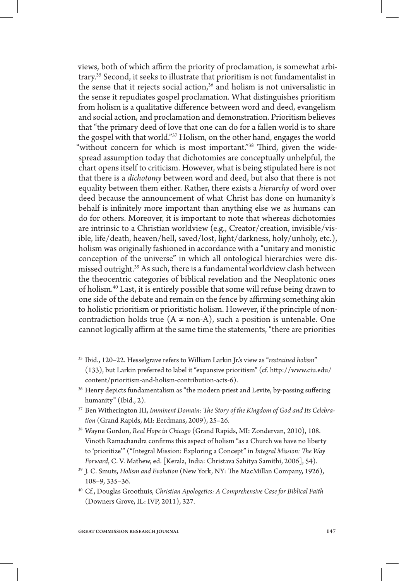views, both of which affirm the priority of proclamation, is somewhat arbitrary.35 Second, it seeks to illustrate that prioritism is not fundamentalist in the sense that it rejects social action, $36$  and holism is not universalistic in the sense it repudiates gospel proclamation. What distinguishes prioritism from holism is a qualitative difference between word and deed, evangelism and social action, and proclamation and demonstration. Prioritism believes that "the primary deed of love that one can do for a fallen world is to share the gospel with that world."37 Holism, on the other hand, engages the world "without concern for which is most important."<sup>38</sup> Third, given the widespread assumption today that dichotomies are conceptually unhelpful, the chart opens itself to criticism. However, what is being stipulated here is not that there is a *dichotomy* between word and deed, but also that there is not equality between them either. Rather, there exists a *hierarchy* of word over deed because the announcement of what Christ has done on humanity's behalf is infinitely more important than anything else we as humans can do for others. Moreover, it is important to note that whereas dichotomies are intrinsic to a Christian worldview (e.g., Creator/creation, invisible/visible, life/death, heaven/hell, saved/lost, light/darkness, holy/unholy, etc.), holism was originally fashioned in accordance with a "unitary and monistic conception of the universe" in which all ontological hierarchies were dismissed outright.39 As such, there is a fundamental worldview clash between the theocentric categories of biblical revelation and the Neoplatonic ones of holism.40 Last, it is entirely possible that some will refuse being drawn to one side of the debate and remain on the fence by affirming something akin to holistic prioritism or prioritistic holism. However, if the principle of noncontradiction holds true  $(A \neq \text{non-A})$ , such a position is untenable. One cannot logically affirm at the same time the statements, "there are priorities

38 Wayne Gordon, *Real Hope in Chicago* (Grand Rapids, MI: Zondervan, 2010), 108. Vinoth Ramachandra confirms this aspect of holism "as a Church we have no liberty to 'prioritize'" ("Integral Mission: Exploring a Concept" in Integral Mission: The Way *Forward*, C. V. Mathew, ed. [Kerala, India: Christava Sahitya Samithi, 2006], 54).

40 Cf., Douglas Groothuis, *Christian Apologetics: A Comprehensive Case for Biblical Faith*  (Downers Grove, IL: IVP, 2011), 327.

<sup>35</sup> Ibid., 120–22. Hesselgrave refers to William Larkin Jr.'s view as "*restrained holism*" (133), but Larkin preferred to label it "expansive prioritism" (cf. http://www.ciu.edu/ content/prioritism-and-holism-contribution-acts-6).

<sup>&</sup>lt;sup>36</sup> Henry depicts fundamentalism as "the modern priest and Levite, by-passing suffering humanity" (Ibid., 2).

<sup>&</sup>lt;sup>37</sup> Ben Witherington III, Imminent Domain: The Story of the Kingdom of God and Its Celebra*tion* (Grand Rapids, MI: Eerdmans, 2009), 25–26.

<sup>&</sup>lt;sup>39</sup> J. C. Smuts, *Holism and Evolution* (New York, NY: The MacMillan Company, 1926), 108–9, 335–36.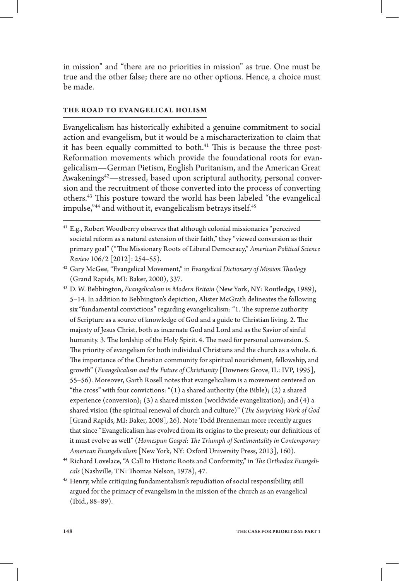in mission" and "there are no priorities in mission" as true. One must be true and the other false; there are no other options. Hence, a choice must be made.

# **THE ROAD TO EVANGELICAL HOLISM**

Evangelicalism has historically exhibited a genuine commitment to social action and evangelism, but it would be a mischaracterization to claim that it has been equally committed to both.<sup>41</sup> This is because the three post-Reformation movements which provide the foundational roots for evangelicalism—German Pietism, English Puritanism, and the American Great Awakenings<sup>42</sup>—stressed, based upon scriptural authority, personal conversion and the recruitment of those converted into the process of converting others.<sup>43</sup> This posture toward the world has been labeled "the evangelical impulse,"<sup>44</sup> and without it, evangelicalism betrays itself.<sup>45</sup>

- <sup>42</sup> Gary McGee, "Evangelical Movement," in *Evangelical Dictionary of Mission Theology* (Grand Rapids, MI: Baker, 2000), 337.
- 43 D. W. Bebbington, *Evangelicalism in Modern Britain* (New York, NY: Routledge, 1989), 5–14. In addition to Bebbington's depiction, Alister McGrath delineates the following six "fundamental convictions" regarding evangelicalism: "1. The supreme authority of Scripture as a source of knowledge of God and a guide to Christian living. 2. The majesty of Jesus Christ, both as incarnate God and Lord and as the Savior of sinful humanity. 3. The lordship of the Holy Spirit. 4. The need for personal conversion. 5. The priority of evangelism for both individual Christians and the church as a whole. 6. The importance of the Christian community for spiritual nourishment, fellowship, and growth" (*Evangelicalism and the Future of Christianity* [Downers Grove, IL: IVP, 1995], 55–56). Moreover, Garth Rosell notes that evangelicalism is a movement centered on "the cross" with four convictions: " $(1)$  a shared authority (the Bible);  $(2)$  a shared experience (conversion); (3) a shared mission (worldwide evangelization); and (4) a shared vision (the spiritual renewal of church and culture)" (The Surprising Work of God [Grand Rapids, MI: Baker, 2008], 26). Note Todd Brenneman more recently argues that since "Evangelicalism has evolved from its origins to the present; our definitions of it must evolve as well" (Homespun Gospel: The Triumph of Sentimentality in Contemporary *American Evangelicalism* [New York, NY: Oxford University Press, 2013], 160).
- <sup>44</sup> Richard Lovelace, "A Call to Historic Roots and Conformity," in *The Orthodox Evangeli*cals (Nashville, TN: Thomas Nelson, 1978), 47.
- <sup>45</sup> Henry, while critiquing fundamentalism's repudiation of social responsibility, still argued for the primacy of evangelism in the mission of the church as an evangelical (Ibid., 88–89).

<sup>&</sup>lt;sup>41</sup> E.g., Robert Woodberry observes that although colonial missionaries "perceived societal reform as a natural extension of their faith," they "viewed conversion as their primary goal" ("The Missionary Roots of Liberal Democracy," American Political Science *Review* 106/2 [2012]: 254–55).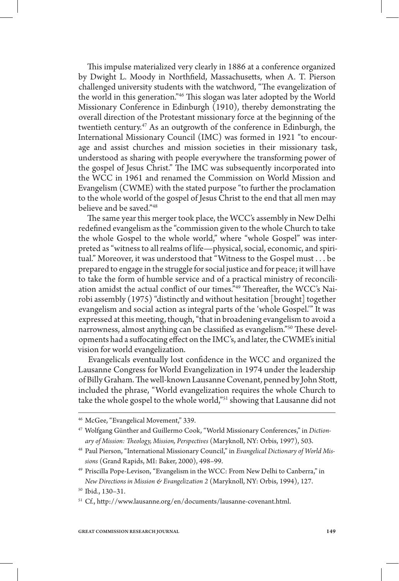This impulse materialized very clearly in 1886 at a conference organized by Dwight L. Moody in Northfield, Massachusetts, when A. T. Pierson challenged university students with the watchword, "The evangelization of the world in this generation."<sup>46</sup> This slogan was later adopted by the World Missionary Conference in Edinburgh (1910), thereby demonstrating the overall direction of the Protestant missionary force at the beginning of the twentieth century.<sup>47</sup> As an outgrowth of the conference in Edinburgh, the International Missionary Council (IMC) was formed in 1921 "to encourage and assist churches and mission societies in their missionary task, understood as sharing with people everywhere the transforming power of the gospel of Jesus Christ." The IMC was subsequently incorporated into the WCC in 1961 and renamed the Commission on World Mission and Evangelism (CWME) with the stated purpose "to further the proclamation to the whole world of the gospel of Jesus Christ to the end that all men may believe and be saved."48

The same year this merger took place, the WCC's assembly in New Delhi redefined evangelism as the "commission given to the whole Church to take the whole Gospel to the whole world," where "whole Gospel" was interpreted as "witness to all realms of life—physical, social, economic, and spiritual." Moreover, it was understood that "Witness to the Gospel must . . . be prepared to engage in the struggle for social justice and for peace; it will have to take the form of humble service and of a practical ministry of reconciliation amidst the actual conflict of our times."<sup>49</sup> Thereafter, the WCC's Nairobi assembly (1975) "distinctly and without hesitation [brought] together evangelism and social action as integral parts of the 'whole Gospel.'" It was expressed at this meeting, though, "that in broadening evangelism to avoid a narrowness, almost anything can be classified as evangelism."<sup>50</sup> These developments had a suffocating effect on the IMC's, and later, the CWME's initial vision for world evangelization.

Evangelicals eventually lost confidence in the WCC and organized the Lausanne Congress for World Evangelization in 1974 under the leadership of Billy Graham. The well-known Lausanne Covenant, penned by John Stott, included the phrase, "World evangelization requires the whole Church to take the whole gospel to the whole world,"51 showing that Lausanne did not

<sup>46</sup> McGee, "Evangelical Movement," 339.

<sup>47</sup> Wolfgang Günther and Guillermo Cook, "World Missionary Conferences," in *Diction*ary of Mission: Theology, Mission, Perspectives (Maryknoll, NY: Orbis, 1997), 503.

<sup>48</sup> Paul Pierson, "International Missionary Council," in *Evangelical Dictionary of World Missions* (Grand Rapids, MI: Baker, 2000), 498–99.

<sup>49</sup> Priscilla Pope-Levison, "Evangelism in the WCC: From New Delhi to Canberra," in *New Directions in Mission & Evangelization 2* (Maryknoll, NY: Orbis, 1994), 127.

<sup>50</sup> Ibid., 130–31.

 $51$  Cf., http://www.lausanne.org/en/documents/lausanne-covenant.html.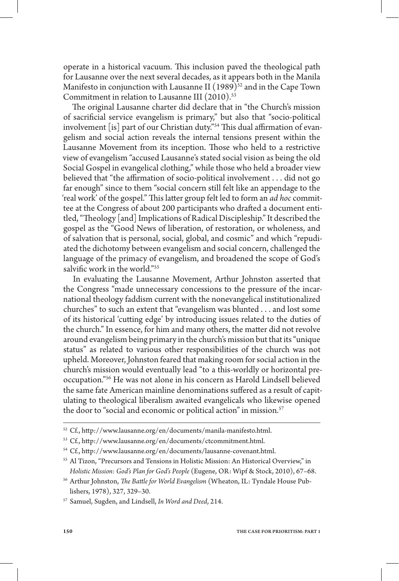operate in a historical vacuum. This inclusion paved the theological path for Lausanne over the next several decades, as it appears both in the Manila Manifesto in conjunction with Lausanne II  $(1989)^{52}$  and in the Cape Town Commitment in relation to Lausanne III (2010).<sup>53</sup>

The original Lausanne charter did declare that in "the Church's mission of sacrificial service evangelism is primary," but also that "socio-political involvement [is] part of our Christian duty."<sup>54</sup> This dual affirmation of evangelism and social action reveals the internal tensions present within the Lausanne Movement from its inception. Those who held to a restrictive view of evangelism "accused Lausanne's stated social vision as being the old Social Gospel in evangelical clothing," while those who held a broader view believed that "the affirmation of socio-political involvement . . . did not go far enough" since to them "social concern still felt like an appendage to the 'real work' of the gospel." This latter group felt led to form an *ad hoc* committee at the Congress of about 200 participants who drafted a document entitled, "Theology [and] Implications of Radical Discipleship." It described the gospel as the "Good News of liberation, of restoration, or wholeness, and of salvation that is personal, social, global, and cosmic" and which "repudiated the dichotomy between evangelism and social concern, challenged the language of the primacy of evangelism, and broadened the scope of God's salvific work in the world."55

In evaluating the Lausanne Movement, Arthur Johnston asserted that the Congress "made unnecessary concessions to the pressure of the incarnational theology faddism current with the nonevangelical institutionalized churches" to such an extent that "evangelism was blunted . . . and lost some of its historical 'cutting edge' by introducing issues related to the duties of the church." In essence, for him and many others, the matter did not revolve around evangelism being primary in the church's mission but that its "unique status" as related to various other responsibilities of the church was not upheld. Moreover, Johnston feared that making room for social action in the church's mission would eventually lead "to a this-worldly or horizontal preoccupation."56 He was not alone in his concern as Harold Lindsell believed the same fate American mainline denominations suffered as a result of capitulating to theological liberalism awaited evangelicals who likewise opened the door to "social and economic or political action" in mission.<sup>57</sup>

 $52$  Cf., http://www.lausanne.org/en/documents/manila-manifesto.html.

 $53$  Cf., http://www.lausanne.org/en/documents/ctcommitment.html.

<sup>54</sup> Cf., http://www.lausanne.org/en/documents/lausanne-covenant.html.

<sup>55</sup> Al Tizon, "Precursors and Tensions in Holistic Mission: An Historical Overview," in *Holistic Mission: God's Plan for God's People* (Eugene, OR: Wipf & Stock, 2010), 67–68.

<sup>&</sup>lt;sup>56</sup> Arthur Johnston, *The Battle for World Evangelism* (Wheaton, IL: Tyndale House Publishers, 1978), 327, 329–30.

<sup>57</sup> Samuel, Sugden, and Lindsell, *In Word and Deed*, 214.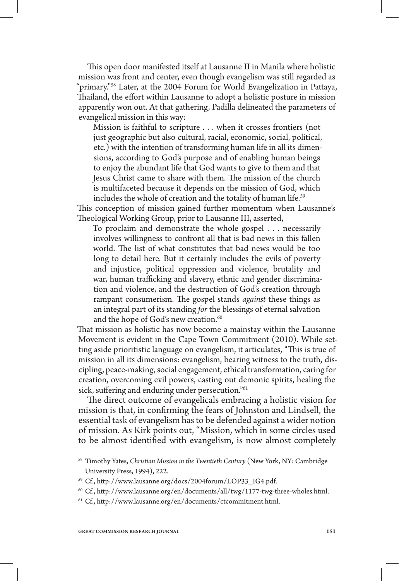This open door manifested itself at Lausanne II in Manila where holistic mission was front and center, even though evangelism was still regarded as "primary."<sup>58</sup> Later, at the 2004 Forum for World Evangelization in Pattaya, Thailand, the effort within Lausanne to adopt a holistic posture in mission apparently won out. At that gathering, Padilla delineated the parameters of evangelical mission in this way:

Mission is faithful to scripture . . . when it crosses frontiers (not just geographic but also cultural, racial, economic, social, political, etc.) with the intention of transforming human life in all its dimensions, according to God's purpose and of enabling human beings to enjoy the abundant life that God wants to give to them and that Jesus Christ came to share with them. The mission of the church is multifaceted because it depends on the mission of God, which includes the whole of creation and the totality of human life.<sup>59</sup>

This conception of mission gained further momentum when Lausanne's Theological Working Group, prior to Lausanne III, asserted,

To proclaim and demonstrate the whole gospel . . . necessarily involves willingness to confront all that is bad news in this fallen world. The list of what constitutes that bad news would be too long to detail here. But it certainly includes the evils of poverty and injustice, political oppression and violence, brutality and war, human trafficking and slavery, ethnic and gender discrimination and violence, and the destruction of God's creation through rampant consumerism. The gospel stands *against* these things as an integral part of its standing *for* the blessings of eternal salvation and the hope of God's new creation.<sup>60</sup>

That mission as holistic has now become a mainstay within the Lausanne Movement is evident in the Cape Town Commitment (2010). While setting aside prioritistic language on evangelism, it articulates, "This is true of mission in all its dimensions: evangelism, bearing witness to the truth, discipling, peace-making, social engagement, ethical transformation, caring for creation, overcoming evil powers, casting out demonic spirits, healing the sick, suffering and enduring under persecution."<sup>61</sup>

The direct outcome of evangelicals embracing a holistic vision for mission is that, in confirming the fears of Johnston and Lindsell, the essential task of evangelism has to be defended against a wider notion of mission. As Kirk points out, "Mission, which in some circles used to be almost identified with evangelism, is now almost completely

<sup>58</sup> Timothy Yates, *Christian Mission in the Twentieth Century* (New York, NY: Cambridge University Press, 1994), 222.

<sup>59</sup> Cf., http://www.lausanne.org/docs/2004forum/LOP33\_IG4.pdf.

 $60$  Cf., http://www.lausanne.org/en/documents/all/twg/1177-twg-three-wholes.html.

 $61$  Cf., http://www.lausanne.org/en/documents/ctcommitment.html.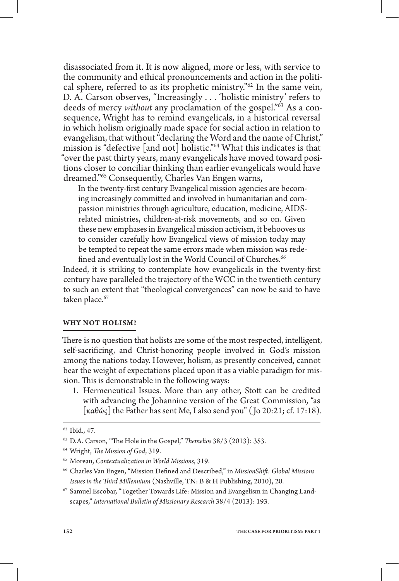disassociated from it. It is now aligned, more or less, with service to the community and ethical pronouncements and action in the political sphere, referred to as its prophetic ministry."62 In the same vein, D. A. Carson observes, "Increasingly . . . 'holistic ministry' refers to deeds of mercy *without* any proclamation of the gospel."<sup>63</sup> As a consequence, Wright has to remind evangelicals, in a historical reversal in which holism originally made space for social action in relation to evangelism, that without "declaring the Word and the name of Christ," mission is "defective [and not] holistic."64 What this indicates is that "over the past thirty years, many evangelicals have moved toward positions closer to conciliar thinking than earlier evangelicals would have dreamed."65 Consequently, Charles Van Engen warns,

In the twenty-first century Evangelical mission agencies are becoming increasingly committed and involved in humanitarian and compassion ministries through agriculture, education, medicine, AIDSrelated ministries, children-at-risk movements, and so on. Given these new emphases in Evangelical mission activism, it behooves us to consider carefully how Evangelical views of mission today may be tempted to repeat the same errors made when mission was rede fined and eventually lost in the World Council of Churches.<sup>66</sup>

Indeed, it is striking to contemplate how evangelicals in the twenty-first century have paralleled the trajectory of the WCC in the twentieth century to such an extent that "theological convergences" can now be said to have taken place.<sup>67</sup>

# **WHY NOT HOLISM?**

There is no question that holists are some of the most respected, intelligent, self-sacrificing, and Christ-honoring people involved in God's mission among the nations today. However, holism, as presently conceived, cannot bear the weight of expectations placed upon it as a viable paradigm for mission. This is demonstrable in the following ways:

1. Hermeneutical Issues. More than any other, Stott can be credited with advancing the Johannine version of the Great Commission, "as [καθώς] the Father has sent Me, I also send you" ( Jo 20:21; cf. 17:18).

<sup>62</sup> Ibid., 47.

<sup>63</sup> D.A. Carson, "The Hole in the Gospel," *Themelios* 38/3 (2013): 353.

<sup>&</sup>lt;sup>64</sup> Wright, *The Mission of God*, 319.

<sup>65</sup> Moreau, *Contextualization in World Missions*, 319.

<sup>&</sup>lt;sup>66</sup> Charles Van Engen, "Mission Defined and Described," in MissionShift: Global Missions Issues in the Third Millennium (Nashville, TN: B & H Publishing, 2010), 20.

<sup>67</sup> Samuel Escobar, "Together Towards Life: Mission and Evangelism in Changing Landscapes," *International Bulletin of Missionary Research* 38/4 (2013): 193.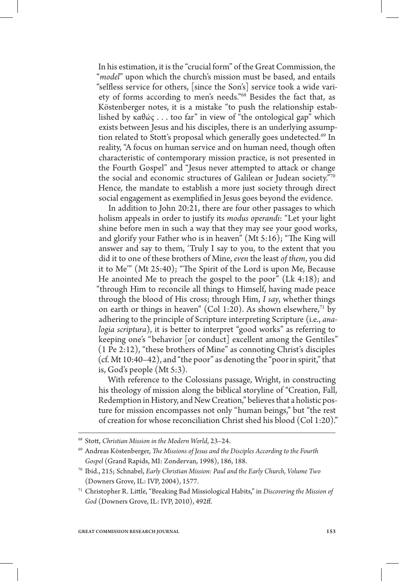In his estimation, it is the "crucial form" of the Great Commission, the "*model*" upon which the church's mission must be based, and entails "selfless service for others, [since the Son's] service took a wide variety of forms according to men's needs."68 Besides the fact that, as Köstenberger notes, it is a mistake "to push the relationship established by καθώς . . . too far" in view of "the ontological gap" which exists between Jesus and his disciples, there is an underlying assumption related to Stott's proposal which generally goes undetected.<sup>69</sup> In reality, "A focus on human service and on human need, though often characteristic of contemporary mission practice, is not presented in the Fourth Gospel" and "Jesus never attempted to attack or change the social and economic structures of Galilean or Judean society."70 Hence, the mandate to establish a more just society through direct social engagement as exemplified in Jesus goes beyond the evidence.

In addition to John 20:21, there are four other passages to which holism appeals in order to justify its *modus operandi*: "Let your light shine before men in such a way that they may see your good works, and glorify your Father who is in heaven"  $(Mt 5:16)$ ; "The King will answer and say to them, 'Truly I say to you, to the extent that you did it to one of these brothers of Mine, *even* the least *of them*, you did it to Me" (Mt 25:40); "The Spirit of the Lord is upon Me, Because He anointed Me to preach the gospel to the poor" (Lk 4:18); and "through Him to reconcile all things to Himself, having made peace through the blood of His cross; through Him, *I say*, whether things on earth or things in heaven" (Col 1:20). As shown elsewhere,<sup>71</sup> by adhering to the principle of Scripture interpreting Scripture (i.e., *analogia scriptura*), it is better to interpret "good works" as referring to keeping one's "behavior [or conduct] excellent among the Gentiles" (1 Pe 2:12), "these brothers of Mine" as connoting Christ's disciples (cf. Mt 10:40–42), and "the poor" as denoting the "poor in spirit," that is, God's people (Mt 5:3).

With reference to the Colossians passage, Wright, in constructing his theology of mission along the biblical storyline of "Creation, Fall, Redemption in History, and New Creation," believes that a holistic posture for mission encompasses not only "human beings," but "the rest of creation for whose reconciliation Christ shed his blood (Col 1:20)."

<sup>&</sup>lt;sup>68</sup> Stott, *Christian Mission in the Modern World*, 23-24.

<sup>&</sup>lt;sup>69</sup> Andreas Köstenberger, *The Missions of Jesus and the Disciples According to the Fourth Gospel* (Grand Rapids, MI: Zondervan, 1998), 186, 188.

<sup>70</sup> Ibid., 215; Schnabel, *Early Christian Mission: Paul and the Early Church, Volume Two* (Downers Grove, IL: IVP, 2004), 1577.

<sup>&</sup>lt;sup>71</sup> Christopher R. Little, "Breaking Bad Missiological Habits," in Discovering the Mission of God (Downers Grove, IL: IVP, 2010), 492ff.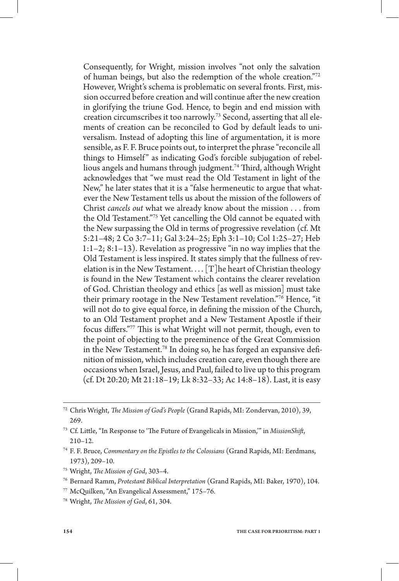Consequently, for Wright, mission involves "not only the salvation of human beings, but also the redemption of the whole creation."72 However, Wright's schema is problematic on several fronts. First, mission occurred before creation and will continue after the new creation in glorifying the triune God. Hence, to begin and end mission with creation circumscribes it too narrowly.<sup>73</sup> Second, asserting that all elements of creation can be reconciled to God by default leads to universalism. Instead of adopting this line of argumentation, it is more sensible, as F. F. Bruce points out, to interpret the phrase "reconcile all things to Himself" as indicating God's forcible subjugation of rebellious angels and humans through judgment.<sup>74</sup> Third, although Wright acknowledges that "we must read the Old Testament in light of the New," he later states that it is a "false hermeneutic to argue that whatever the New Testament tells us about the mission of the followers of Christ *cancels out* what we already know about the mission . . . from the Old Testament."75 Yet cancelling the Old cannot be equated with the New surpassing the Old in terms of progressive revelation (cf. Mt 5:21–48; 2 Co 3:7–11; Gal 3:24–25; Eph 3:1–10; Col 1:25–27; Heb 1:1–2; 8:1–13). Revelation as progressive "in no way implies that the Old Testament is less inspired. It states simply that the fullness of revelation is in the New Testament....  $[T]$ he heart of Christian theology is found in the New Testament which contains the clearer revelation of God. Christian theology and ethics [as well as mission] must take their primary rootage in the New Testament revelation."76 Hence, "it will not do to give equal force, in defining the mission of the Church, to an Old Testament prophet and a New Testament Apostle if their focus differs."<sup>77</sup> This is what Wright will not permit, though, even to the point of objecting to the preeminence of the Great Commission in the New Testament.<sup>78</sup> In doing so, he has forged an expansive definition of mission, which includes creation care, even though there are occasions when Israel, Jesus, and Paul, failed to live up to this program (cf. Dt 20:20; Mt 21:18–19; Lk 8:32–33; Ac 14:8–18). Last, it is easy

<sup>75</sup> Wright, *The Mission of God*, 303-4.

<sup>78</sup> Wright, *The Mission of God*, 61, 304.

<sup>&</sup>lt;sup>72</sup> Chris Wright, *The Mission of God's People* (Grand Rapids, MI: Zondervan, 2010), 39, 269.

<sup>&</sup>lt;sup>73</sup> Cf. Little, "In Response to 'The Future of Evangelicals in Mission," in MissionShift, 210–12.

<sup>74</sup> F. F. Bruce, *Commentary on the Epistles to the Colossians* (Grand Rapids, MI: Eerdmans, 1973), 209–10.

<sup>76</sup> Bernard Ramm, *Protestant Biblical Interpretation* (Grand Rapids, MI: Baker, 1970), 104.

<sup>77</sup> McQuilken, "An Evangelical Assessment," 175–76.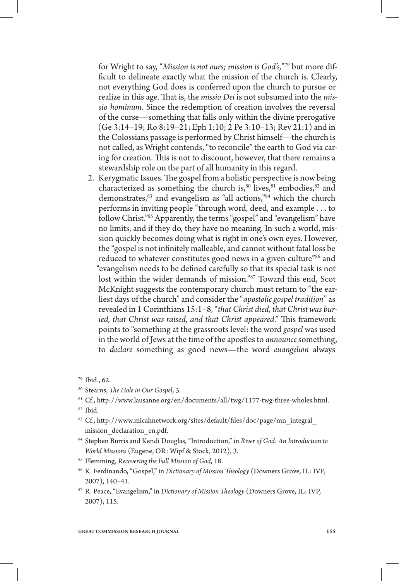for Wright to say, "*Mission is not ours; mission is God's,*"79 but more dif ficult to delineate exactly what the mission of the church is. Clearly, not everything God does is conferred upon the church to pursue or realize in this age. That is, the *missio Dei* is not subsumed into the *missio hominum*. Since the redemption of creation involves the reversal of the curse—something that falls only within the divine prerogative (Ge 3:14–19; Ro 8:19–21; Eph 1:10; 2 Pe 3:10–13; Rev 21:1) and in the Colossians passage is performed by Christ himself—the church is not called, as Wright contends, "to reconcile" the earth to God via caring for creation. This is not to discount, however, that there remains a stewardship role on the part of all humanity in this regard.

2. Kerygmatic Issues. The gospel from a holistic perspective is now being characterized as something the church is,<sup>80</sup> lives, $81$  embodies, $82$  and demonstrates,<sup>83</sup> and evangelism as "all actions,"<sup>84</sup> which the church performs in inviting people "through word, deed, and example . . . to follow Christ."85 Apparently, the terms "gospel" and "evangelism" have no limits, and if they do, they have no meaning. In such a world, mission quickly becomes doing what is right in one's own eyes. However, the "gospel is not infinitely malleable, and cannot without fatal loss be reduced to whatever constitutes good news in a given culture"86 and "evangelism needs to be defined carefully so that its special task is not lost within the wider demands of mission."87 Toward this end, Scot McKnight suggests the contemporary church must return to "the earliest days of the church" and consider the "*apostolic gospel tradition*" as revealed in 1 Corinthians 15:1–8, "*that Christ died, that Christ was buried, that Christ was raised, and that Christ appeared*." This framework points to "something at the grassroots level: the word *gospel* was used in the world of Jews at the time of the apostles to *announce* something, to *declare* something as good news—the word *euangelion* always

<sup>83</sup> Cf., http://www.micahnetwork.org/sites/default/files/doc/page/mn\_integral\_ mission\_declaration\_en.pdf.

- <sup>86</sup> K. Ferdinando, "Gospel," in *Dictionary of Mission Theology* (Downers Grove, IL: IVP, 2007), 140–41.
- <sup>87</sup> R. Peace, "Evangelism," in *Dictionary of Mission Theology* (Downers Grove, IL: IVP, 2007), 115.

<sup>79</sup> Ibid., 62.

<sup>&</sup>lt;sup>80</sup> Stearns, *The Hole in Our Gospel*, 3.

 $81$  Cf., http://www.lausanne.org/en/documents/all/twg/1177-twg-three-wholes.html.

<sup>82</sup> Ibid.

<sup>84</sup> Stephen Burris and Kendi Douglas, "Introduction," in *River of God: An Introduction to World Missions* (Eugene, OR: Wipf & Stock, 2012), 3.

<sup>85</sup> Flemming, *Recovering the Full Mission of God*, 18.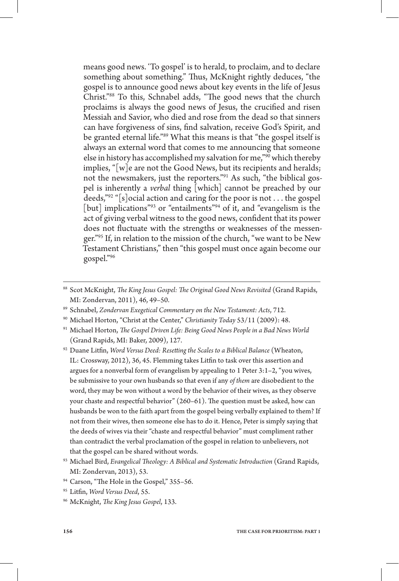means good news. 'To gospel' is to herald, to proclaim, and to declare something about something." Thus, McKnight rightly deduces, "the gospel is to announce good news about key events in the life of Jesus Christ."<sup>88</sup> To this, Schnabel adds, "The good news that the church proclaims is always the good news of Jesus, the crucified and risen Messiah and Savior, who died and rose from the dead so that sinners can have forgiveness of sins, find salvation, receive God's Spirit, and be granted eternal life."89 What this means is that "the gospel itself is always an external word that comes to me announcing that someone else in history has accomplished my salvation for me,"<sup>90</sup> which thereby implies, "[w]e are not the Good News, but its recipients and heralds; not the newsmakers, just the reporters."91 As such, "the biblical gospel is inherently a *verbal* thing [which] cannot be preached by our deeds," $92$  "[s]ocial action and caring for the poor is not ... the gospel [but] implications"<sup>93</sup> or "entailments"<sup>94</sup> of it, and "evangelism is the act of giving verbal witness to the good news, confident that its power does not fluctuate with the strengths or weaknesses of the messenger."95 If, in relation to the mission of the church, "we want to be New Testament Christians," then "this gospel must once again become our gospel."96

- 88 Scot McKnight, *The King Jesus Gospel: The Original Good News Revisited* (Grand Rapids, MI: Zondervan, 2011), 46, 49–50.
- 89 Schnabel, *Zondervan Exegetical Commentary on the New Testament: Acts*, 712.
- 90 Michael Horton, "Christ at the Center," *Christianity Today* 53/11 (2009): 48.
- <sup>91</sup> Michael Horton, *The Gospel Driven Life: Being Good News People in a Bad News World* (Grand Rapids, MI: Baker, 2009), 127.
- <sup>92</sup> Duane Litfin, *Word Versus Deed: Resetting the Scales to a Biblical Balance* (Wheaton, IL: Crossway, 2012), 36, 45. Flemming takes Litfin to task over this assertion and argues for a nonverbal form of evangelism by appealing to 1 Peter 3:1–2, "you wives, be submissive to your own husbands so that even if any *of them* are disobedient to the word, they may be won without a word by the behavior of their wives, as they observe your chaste and respectful behavior" (260-61). The question must be asked, how can husbands be won to the faith apart from the gospel being verbally explained to them? If not from their wives, then someone else has to do it. Hence, Peter is simply saying that the deeds of wives via their "chaste and respectful behavior" must compliment rather than contradict the verbal proclamation of the gospel in relation to unbelievers, not that the gospel can be shared without words.
- <sup>93</sup> Michael Bird, *Evangelical Theology: A Biblical and Systematic Introduction* (Grand Rapids, MI: Zondervan, 2013), 53.
- <sup>94</sup> Carson, "The Hole in the Gospel," 355-56.
- <sup>95</sup> Litfin, *Word Versus Deed*, 55.
- <sup>96</sup> McKnight, *The King Jesus Gospel*, 133.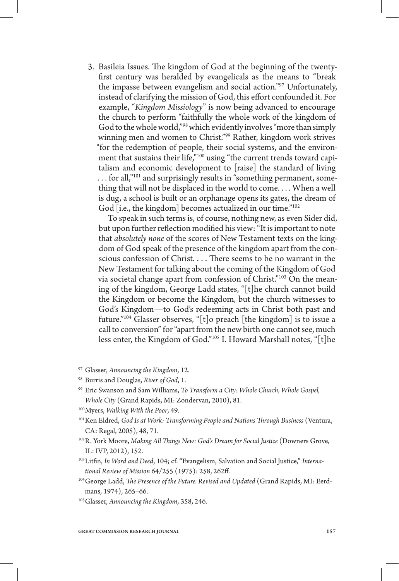3. Basileia Issues. The kingdom of God at the beginning of the twentyfirst century was heralded by evangelicals as the means to "break the impasse between evangelism and social action."97 Unfortunately, instead of clarifying the mission of God, this effort confounded it. For example, "*Kingdom Missiology*" is now being advanced to encourage the church to perform "faithfully the whole work of the kingdom of God to the whole world,"98 which evidently involves "more than simply winning men and women to Christ."<sup>99</sup> Rather, kingdom work strives "for the redemption of people, their social systems, and the environment that sustains their life,"<sup>100</sup> using "the current trends toward capitalism and economic development to [raise] the standard of living  $\dots$  for all," $^{101}$  and surprisingly results in "something permanent, something that will not be displaced in the world to come. . . . When a well is dug, a school is built or an orphanage opens its gates, the dream of God [i.e., the kingdom] becomes actualized in our time."<sup>102</sup>

To speak in such terms is, of course, nothing new, as even Sider did, but upon further reflection modified his view: "It is important to note that *absolutely none* of the scores of New Testament texts on the kingdom of God speak of the presence of the kingdom apart from the conscious confession of Christ. . . . There seems to be no warrant in the New Testament for talking about the coming of the Kingdom of God via societal change apart from confession of Christ."<sup>103</sup> On the meaning of the kingdom, George Ladd states, "[t]he church cannot build the Kingdom or become the Kingdom, but the church witnesses to God's Kingdom—to God's redeeming acts in Christ both past and future."104 Glasser observes, "[t]o preach [the kingdom] is to issue a call to conversion" for "apart from the new birth one cannot see, much less enter, the Kingdom of God."105 I. Howard Marshall notes, "[t]he

<sup>97</sup> Glasser, *Announcing the Kingdom*, 12.

<sup>98</sup> Burris and Douglas, *River of God*, 1.

<sup>99</sup> Eric Swanson and Sam Williams, *To Transform a City: Whole Church, Whole Gospel, Whole City* (Grand Rapids, MI: Zondervan, 2010), 81.

<sup>100</sup> Myers, *Walking With the Poor*, 49.

<sup>&</sup>lt;sup>101</sup> Ken Eldred, *God Is at Work: Transforming People and Nations Through Business* (Ventura, CA: Regal, 2005), 48, 71.

<sup>&</sup>lt;sup>102</sup> R. York Moore, *Making All Things New: God's Dream for Social Justice* (Downers Grove, IL: IVP, 2012), 152.

<sup>&</sup>lt;sup>103</sup> Litfin, In Word and Deed, 104; cf. "Evangelism, Salvation and Social Justice," Interna*tional Review of Mission* 64/255 (1975): 258, 262ff.

<sup>&</sup>lt;sup>104</sup> George Ladd, *The Presence of the Future. Revised and Updated* (Grand Rapids, MI: Eerdmans, 1974), 265–66.

<sup>105</sup> Glasser, *Announcing the Kingdom*, 358, 246.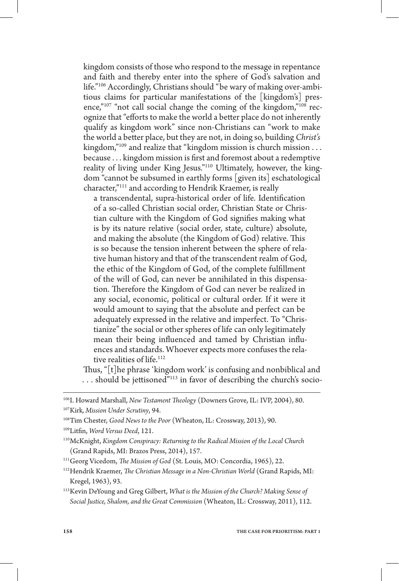kingdom consists of those who respond to the message in repentance and faith and thereby enter into the sphere of God's salvation and life."<sup>106</sup> Accordingly, Christians should "be wary of making over-ambitious claims for particular manifestations of the [kingdom's] presence,"<sup>107</sup> "not call social change the coming of the kingdom,"<sup>108</sup> recognize that "efforts to make the world a better place do not inherently qualify as kingdom work" since non-Christians can "work to make the world a better place, but they are not, in doing so, building *Christ's* kingdom,"<sup>109</sup> and realize that "kingdom mission is church mission ... because . . . kingdom mission is first and foremost about a redemptive reality of living under King Jesus."<sup>110</sup> Ultimately, however, the kingdom "cannot be subsumed in earthly forms [given its] eschatological character,"111 and according to Hendrik Kraemer, is really

a transcendental, supra-historical order of life. Identification of a so-called Christian social order, Christian State or Christian culture with the Kingdom of God signifies making what is by its nature relative (social order, state, culture) absolute, and making the absolute (the Kingdom of God) relative. This is so because the tension inherent between the sphere of relative human history and that of the transcendent realm of God, the ethic of the Kingdom of God, of the complete fulllment of the will of God, can never be annihilated in this dispensation. Therefore the Kingdom of God can never be realized in any social, economic, political or cultural order. If it were it would amount to saying that the absolute and perfect can be adequately expressed in the relative and imperfect. To "Christianize" the social or other spheres of life can only legitimately mean their being influenced and tamed by Christian influences and standards. Whoever expects more confuses the relative realities of life.<sup>112</sup>

Thus, "[t]he phrase 'kingdom work' is confusing and nonbiblical and ... should be jettisoned"<sup>113</sup> in favor of describing the church's socio-

<sup>&</sup>lt;sup>106</sup>I. Howard Marshall, *New Testament Theology* (Downers Grove, IL: IVP, 2004), 80. 107 Kirk*, Mission Under Scrutiny*, 94.

<sup>108</sup> Tim Chester, *Good News to the Poor* (Wheaton, IL: Crossway, 2013), 90.

<sup>109</sup> Litn, *Word Versus Deed*, 121.

<sup>110</sup> McKnight, *Kingdom Conspiracy: Returning to the Radical Mission of the Local Church* (Grand Rapids, MI: Brazos Press, 2014), 157.

<sup>&</sup>lt;sup>111</sup> Georg Vicedom, *The Mission of God* (St. Louis, MO: Concordia, 1965), 22.

<sup>&</sup>lt;sup>112</sup> Hendrik Kraemer, *The Christian Message in a Non-Christian World* (Grand Rapids, MI: Kregel, 1963), 93.

<sup>113</sup> Kevin DeYoung and Greg Gilbert, *What is the Mission of the Church? Making Sense of Social Justice, Shalom, and the Great Commission* (Wheaton, IL: Crossway, 2011), 112.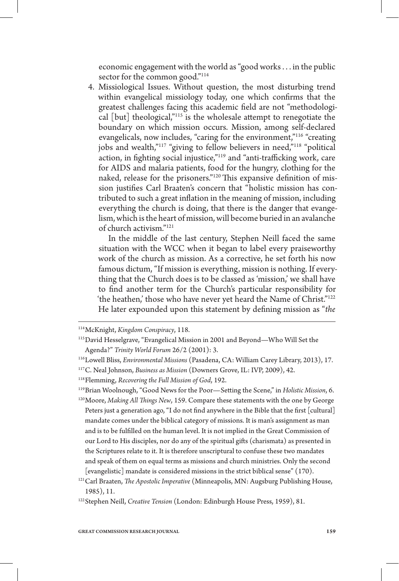economic engagement with the world as "good works . . . in the public sector for the common good."<sup>114</sup>

4. Missiological Issues. Without question, the most disturbing trend within evangelical missiology today, one which confirms that the greatest challenges facing this academic field are not "methodological [but] theological,"<sup>115</sup> is the wholesale attempt to renegotiate the boundary on which mission occurs. Mission, among self-declared evangelicals, now includes, "caring for the environment,"<sup>116</sup> "creating jobs and wealth,"<sup>117</sup> "giving to fellow believers in need,"<sup>118</sup> "political action, in fighting social injustice,"<sup>119</sup> and "anti-trafficking work, care for AIDS and malaria patients, food for the hungry, clothing for the naked, release for the prisoners."<sup>120</sup> This expansive definition of mission justifies Carl Braaten's concern that "holistic mission has contributed to such a great inflation in the meaning of mission, including everything the church is doing, that there is the danger that evangelism, which is the heart of mission, will become buried in an avalanche of church activism."121

In the middle of the last century, Stephen Neill faced the same situation with the WCC when it began to label every praiseworthy work of the church as mission. As a corrective, he set forth his now famous dictum, "If mission is everything, mission is nothing. If everything that the Church does is to be classed as 'mission,' we shall have to find another term for the Church's particular responsibility for 'the heathen,' those who have never yet heard the Name of Christ."122 He later expounded upon this statement by defining mission as "the

<sup>119</sup> Brian Woolnough, "Good News for the Poor—Setting the Scene," in *Holistic Mission*, 6. <sup>120</sup> Moore, *Making All Things New*, 159. Compare these statements with the one by George Peters just a generation ago, "I do not find anywhere in the Bible that the first [cultural] mandate comes under the biblical category of missions. It is man's assignment as man and is to be fullled on the human level. It is not implied in the Great Commission of our Lord to His disciples, nor do any of the spiritual gifts (charismata) as presented in the Scriptures relate to it. It is therefore unscriptural to confuse these two mandates and speak of them on equal terms as missions and church ministries. Only the second [evangelistic] mandate is considered missions in the strict biblical sense" (170).

<sup>114</sup> McKnight, *Kingdom Conspiracy*, 118.

<sup>115</sup> David Hesselgrave, "Evangelical Mission in 2001 and Beyond—Who Will Set the Agenda?" *Trinity World Forum* 26/2 (2001): 3.

<sup>116</sup> Lowell Bliss, *Environmental Missions* (Pasadena, CA: William Carey Library, 2013), 17.

<sup>117</sup> C. Neal Johnson, *Business as Mission* (Downers Grove, IL: IVP, 2009), 42.

<sup>118</sup> Flemming, *Recovering the Full Mission of God*, 192.

<sup>&</sup>lt;sup>121</sup> Carl Braaten, *The Apostolic Imperative* (Minneapolis, MN: Augsburg Publishing House, 1985), 11.

<sup>122</sup> Stephen Neill, *Creative Tension* (London: Edinburgh House Press, 1959), 81.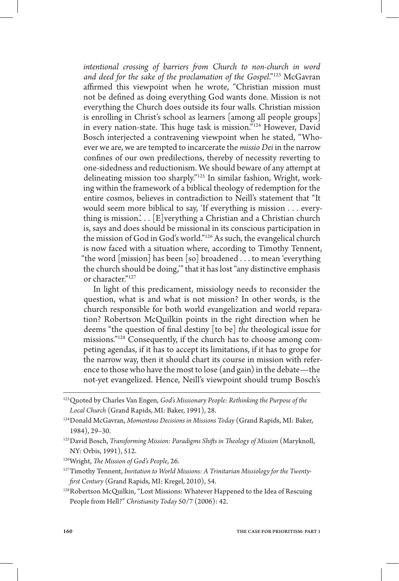intentional crossing of barriers from Church to non-church in word *and deed for the sake of the proclamation of the Gospel*."123 McGavran affirmed this viewpoint when he wrote, "Christian mission must not be defined as doing everything God wants done. Mission is not everything the Church does outside its four walls. Christian mission is enrolling in Christ's school as learners [among all people groups] in every nation-state. This huge task is mission."<sup>124</sup> However, David Bosch interjected a contravening viewpoint when he stated, "Whoever we are, we are tempted to incarcerate the *missio Dei* in the narrow confines of our own predilections, thereby of necessity reverting to one-sidedness and reductionism. We should beware of any attempt at delineating mission too sharply."125 In similar fashion, Wright, working within the framework of a biblical theology of redemption for the entire cosmos, believes in contradiction to Neill's statement that "It would seem more biblical to say, 'If everything is mission . . . everything is mission. $\ldots$  [E]verything a Christian and a Christian church is, says and does should be missional in its conscious participation in the mission of God in God's world."126 As such, the evangelical church is now faced with a situation where, according to Timothy Tennent, "the word [mission] has been [so] broadened . . . to mean 'everything the church should be doing,'" that it has lost "any distinctive emphasis or character."127

In light of this predicament, missiology needs to reconsider the question, what is and what is not mission? In other words, is the church responsible for both world evangelization and world reparation? Robertson McQuilkin points in the right direction when he deems "the question of nal destiny [to be] *the* theological issue for missions."128 Consequently, if the church has to choose among competing agendas, if it has to accept its limitations, if it has to grope for the narrow way, then it should chart its course in mission with reference to those who have the most to lose (and gain) in the debate—the not-yet evangelized. Hence, Neill's viewpoint should trump Bosch's

<sup>123</sup> Quoted by Charles Van Engen, *God's Missionary People: Rethinking the Purpose of the Local Church* (Grand Rapids, MI: Baker, 1991), 28.

<sup>124</sup> Donald McGavran, *Momentous Decisions in Missions Today* (Grand Rapids, MI: Baker, 1984), 29–30.

<sup>&</sup>lt;sup>125</sup> David Bosch, Transforming Mission: Paradigms Shifts in Theology of Mission (Maryknoll, NY: Orbis, 1991), 512.

<sup>&</sup>lt;sup>126</sup>Wright, *The Mission of God's People*, 26.

<sup>127</sup> Timothy Tennent, *Invitation to World Missions: A Trinitarian Missiology for the Twenty- ¦rst Century* (Grand Rapids, MI: Kregel, 2010), 54.

<sup>&</sup>lt;sup>128</sup> Robertson McQuilkin, "Lost Missions: Whatever Happened to the Idea of Rescuing People from Hell?" *Christianity Today* 50/7 (2006): 42.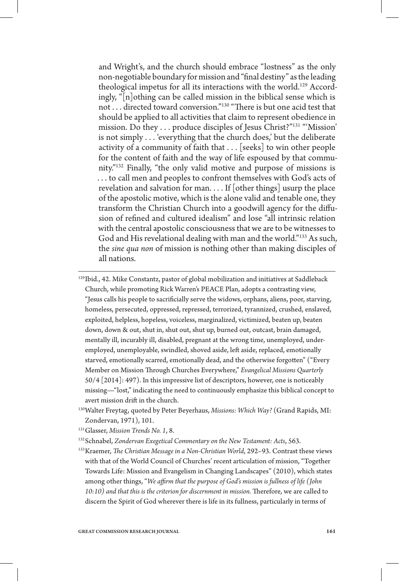and Wright's, and the church should embrace "lostness" as the only non-negotiable boundary for mission and "final destiny" as the leading theological impetus for all its interactions with the world.<sup>129</sup> Accordingly, "[n]othing can be called mission in the biblical sense which is not ... directed toward conversion."<sup>130</sup> "There is but one acid test that should be applied to all activities that claim to represent obedience in mission. Do they . . . produce disciples of Jesus Christ?"131 "'Mission' is not simply . . . 'everything that the church does,' but the deliberate activity of a community of faith that . . . [seeks] to win other people for the content of faith and the way of life espoused by that community."132 Finally, "the only valid motive and purpose of missions is . . . to call men and peoples to confront themselves with God's acts of revelation and salvation for man. . . . If [other things] usurp the place of the apostolic motive, which is the alone valid and tenable one, they transform the Christian Church into a goodwill agency for the diffusion of refined and cultured idealism" and lose "all intrinsic relation with the central apostolic consciousness that we are to be witnesses to God and His revelational dealing with man and the world."133 As such, the *sine qua non* of mission is nothing other than making disciples of all nations.

<sup>129</sup>Ibid., 42. Mike Constantz, pastor of global mobilization and initiatives at Saddleback Church, while promoting Rick Warren's PEACE Plan, adopts a contrasting view, "Jesus calls his people to sacrificially serve the widows, orphans, aliens, poor, starving, homeless, persecuted, oppressed, repressed, terrorized, tyrannized, crushed, enslaved, exploited, helpless, hopeless, voiceless, marginalized, victimized, beaten up, beaten down, down & out, shut in, shut out, shut up, burned out, outcast, brain damaged, mentally ill, incurably ill, disabled, pregnant at the wrong time, unemployed, underemployed, unemployable, swindled, shoved aside, left aside, replaced, emotionally starved, emotionally scarred, emotionally dead, and the otherwise forgotten" ("Every Member on Mission Through Churches Everywhere," *Evangelical Missions Quarterly* 50/4 [2014]: 497). In this impressive list of descriptors, however, one is noticeably missing—"lost," indicating the need to continuously emphasize this biblical concept to avert mission drift in the church.

130 Walter Freytag, quoted by Peter Beyerhaus, *Missions: Which Way?* (Grand Rapids, MI: Zondervan, 1971), 101.

<sup>131</sup> Glasser, *Mission Trends No. 1*, 8.

<sup>132</sup> Schnabel, *Zondervan Exegetical Commentary on the New Testament: Acts*, 563.

<sup>&</sup>lt;sup>133</sup>Kraemer, *The Christian Message in a Non-Christian World*, 292-93. Contrast these views with that of the World Council of Churches' recent articulation of mission, "Together Towards Life: Mission and Evangelism in Changing Landscapes" (2010), which states among other things, "We affirm that the purpose of God's mission is fullness of life (John 10:10) and that this is the criterion for discernment in mission. Therefore, we are called to discern the Spirit of God wherever there is life in its fullness, particularly in terms of